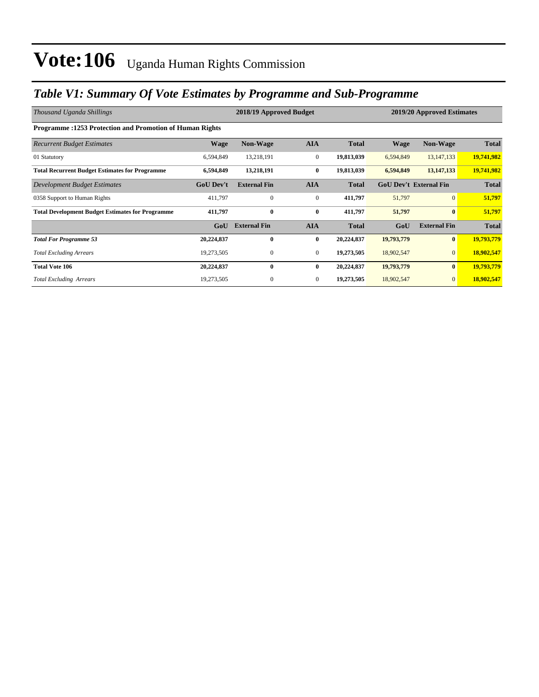### *Table V1: Summary Of Vote Estimates by Programme and Sub-Programme*

| Thousand Uganda Shillings                                       | 2018/19 Approved Budget |                     |                  |              | 2019/20 Approved Estimates    |                     |              |  |
|-----------------------------------------------------------------|-------------------------|---------------------|------------------|--------------|-------------------------------|---------------------|--------------|--|
| <b>Programme: 1253 Protection and Promotion of Human Rights</b> |                         |                     |                  |              |                               |                     |              |  |
| <b>Recurrent Budget Estimates</b>                               | <b>Wage</b>             | <b>Non-Wage</b>     | <b>AIA</b>       | <b>Total</b> | <b>Wage</b>                   | <b>Non-Wage</b>     | <b>Total</b> |  |
| 01 Statutory                                                    | 6,594,849               | 13,218,191          | $\mathbf{0}$     | 19,813,039   | 6,594,849                     | 13, 147, 133        | 19,741,982   |  |
| <b>Total Recurrent Budget Estimates for Programme</b>           | 6,594,849               | 13,218,191          | $\bf{0}$         | 19,813,039   | 6,594,849                     | 13, 147, 133        | 19,741,982   |  |
| Development Budget Estimates                                    | <b>GoU Dev't</b>        | <b>External Fin</b> | <b>AIA</b>       | <b>Total</b> | <b>GoU Dev't External Fin</b> |                     | <b>Total</b> |  |
| 0358 Support to Human Rights                                    | 411,797                 | $\mathbf{0}$        | $\boldsymbol{0}$ | 411,797      | 51,797                        | $\overline{0}$      | 51,797       |  |
| <b>Total Development Budget Estimates for Programme</b>         | 411,797                 | $\bf{0}$            | $\bf{0}$         | 411,797      | 51,797                        | $\mathbf{0}$        | 51,797       |  |
|                                                                 | GoU                     | <b>External Fin</b> | <b>AIA</b>       | <b>Total</b> | GoU                           | <b>External Fin</b> | <b>Total</b> |  |
| <b>Total For Programme 53</b>                                   | 20,224,837              | 0                   | $\bf{0}$         | 20,224,837   | 19,793,779                    | $\bf{0}$            | 19,793,779   |  |
| <b>Total Excluding Arrears</b>                                  | 19,273,505              | $\mathbf{0}$        | $\overline{0}$   | 19,273,505   | 18,902,547                    | $\mathbf{0}$        | 18,902,547   |  |
| <b>Total Vote 106</b>                                           | 20,224,837              | $\mathbf{0}$        | $\bf{0}$         | 20,224,837   | 19,793,779                    | $\bf{0}$            | 19,793,779   |  |
| <b>Total Excluding Arrears</b>                                  | 19,273,505              | $\mathbf{0}$        | $\mathbf{0}$     | 19,273,505   | 18,902,547                    | $\mathbf{0}$        | 18,902,547   |  |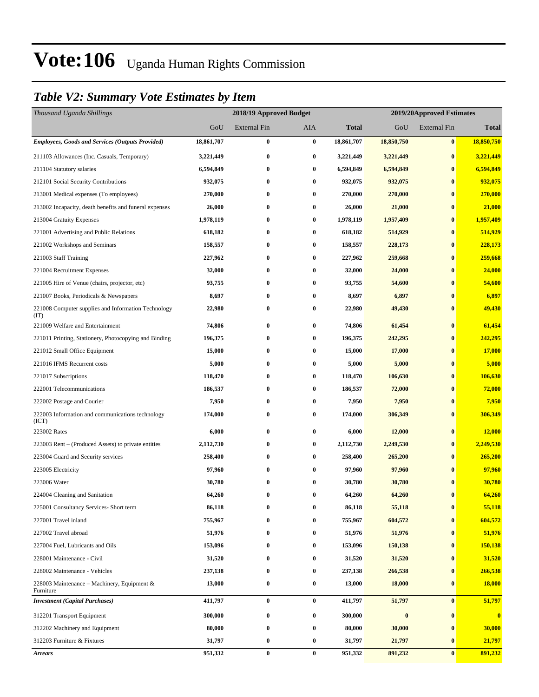### *Table V2: Summary Vote Estimates by Item*

| Thousand Uganda Shillings                                   |            | 2018/19 Approved Budget |            |              | 2019/20Approved Estimates |                     |               |
|-------------------------------------------------------------|------------|-------------------------|------------|--------------|---------------------------|---------------------|---------------|
|                                                             | GoU        | <b>External Fin</b>     | <b>AIA</b> | <b>Total</b> | GoU                       | <b>External Fin</b> | <b>Total</b>  |
| <b>Employees, Goods and Services (Outputs Provided)</b>     | 18,861,707 | 0                       | $\bf{0}$   | 18,861,707   | 18,850,750                | $\bf{0}$            | 18,850,750    |
| 211103 Allowances (Inc. Casuals, Temporary)                 | 3,221,449  | 0                       | $\bf{0}$   | 3,221,449    | 3,221,449                 | $\bf{0}$            | 3,221,449     |
| 211104 Statutory salaries                                   | 6,594,849  | 0                       | $\bf{0}$   | 6,594,849    | 6,594,849                 | $\bf{0}$            | 6,594,849     |
| 212101 Social Security Contributions                        | 932,075    | 0                       | $\bf{0}$   | 932,075      | 932,075                   | $\bf{0}$            | 932,075       |
| 213001 Medical expenses (To employees)                      | 270,000    | 0                       | $\bf{0}$   | 270,000      | 270,000                   | $\bf{0}$            | 270,000       |
| 213002 Incapacity, death benefits and funeral expenses      | 26,000     | 0                       | $\bf{0}$   | 26,000       | 21,000                    | $\bf{0}$            | 21,000        |
| 213004 Gratuity Expenses                                    | 1,978,119  | 0                       | $\bf{0}$   | 1,978,119    | 1,957,409                 | $\bf{0}$            | 1,957,409     |
| 221001 Advertising and Public Relations                     | 618,182    | 0                       | $\bf{0}$   | 618,182      | 514,929                   | $\bf{0}$            | 514,929       |
| 221002 Workshops and Seminars                               | 158,557    | 0                       | $\bf{0}$   | 158,557      | 228,173                   | $\bf{0}$            | 228,173       |
| 221003 Staff Training                                       | 227,962    | 0                       | $\bf{0}$   | 227,962      | 259,668                   | $\bf{0}$            | 259,668       |
| 221004 Recruitment Expenses                                 | 32,000     | 0                       | $\bf{0}$   | 32,000       | 24,000                    | $\bf{0}$            | 24,000        |
| 221005 Hire of Venue (chairs, projector, etc)               | 93,755     | 0                       | $\bf{0}$   | 93,755       | 54,600                    | $\bf{0}$            | 54,600        |
| 221007 Books, Periodicals & Newspapers                      | 8,697      | 0                       | $\bf{0}$   | 8,697        | 6,897                     | $\bf{0}$            | 6,897         |
| 221008 Computer supplies and Information Technology<br>(TT) | 22,980     | 0                       | $\bf{0}$   | 22,980       | 49,430                    | $\bf{0}$            | 49,430        |
| 221009 Welfare and Entertainment                            | 74,806     | 0                       | $\bf{0}$   | 74,806       | 61,454                    | $\bf{0}$            | 61,454        |
| 221011 Printing, Stationery, Photocopying and Binding       | 196,375    | 0                       | $\bf{0}$   | 196,375      | 242,295                   | $\bf{0}$            | 242,295       |
| 221012 Small Office Equipment                               | 15,000     | 0                       | $\bf{0}$   | 15,000       | 17,000                    | $\bf{0}$            | 17,000        |
| 221016 IFMS Recurrent costs                                 | 5,000      | 0                       | $\bf{0}$   | 5,000        | 5,000                     | $\bf{0}$            | 5,000         |
| 221017 Subscriptions                                        | 118,470    | 0                       | $\bf{0}$   | 118,470      | 106,630                   | $\bf{0}$            | 106,630       |
| 222001 Telecommunications                                   | 186,537    | 0                       | $\bf{0}$   | 186,537      | 72,000                    | $\bf{0}$            | 72,000        |
| 222002 Postage and Courier                                  | 7,950      | 0                       | $\bf{0}$   | 7,950        | 7,950                     | $\bf{0}$            | 7,950         |
| 222003 Information and communications technology<br>(ICT)   | 174,000    | 0                       | $\bf{0}$   | 174,000      | 306,349                   | $\bf{0}$            | 306,349       |
| 223002 Rates                                                | 6,000      | 0                       | $\bf{0}$   | 6,000        | 12,000                    | $\bf{0}$            | 12,000        |
| 223003 Rent – (Produced Assets) to private entities         | 2,112,730  | 0                       | $\bf{0}$   | 2,112,730    | 2,249,530                 | $\bf{0}$            | 2,249,530     |
| 223004 Guard and Security services                          | 258,400    | 0                       | $\bf{0}$   | 258,400      | 265,200                   | $\bf{0}$            | 265,200       |
| 223005 Electricity                                          | 97,960     | 0                       | $\bf{0}$   | 97,960       | 97,960                    | $\bf{0}$            | 97,960        |
| 223006 Water                                                | 30,780     | 0                       | $\bf{0}$   | 30,780       | 30,780                    | $\bf{0}$            | 30,780        |
| 224004 Cleaning and Sanitation                              | 64,260     | $\bf{0}$                | $\bf{0}$   | 64,260       | 64,260                    | $\bf{0}$            | 64,260        |
| 225001 Consultancy Services- Short term                     | 86,118     | 0                       | $\bf{0}$   | 86,118       | 55,118                    | $\bf{0}$            | 55,118        |
| 227001 Travel inland                                        | 755,967    | 0                       | $\bf{0}$   | 755,967      | 604,572                   | $\bf{0}$            | 604,572       |
| 227002 Travel abroad                                        | 51,976     | 0                       | $\bf{0}$   | 51,976       | 51,976                    | $\bf{0}$            | 51,976        |
| 227004 Fuel, Lubricants and Oils                            | 153,096    | 0                       | $\bf{0}$   | 153,096      | 150,138                   | $\bf{0}$            | 150,138       |
| 228001 Maintenance - Civil                                  | 31,520     | 0                       | $\bf{0}$   | 31,520       | 31,520                    | $\bf{0}$            | 31,520        |
| 228002 Maintenance - Vehicles                               | 237,138    | 0                       | $\bf{0}$   | 237,138      | 266,538                   | $\bf{0}$            | 266,538       |
| 228003 Maintenance – Machinery, Equipment &<br>Furniture    | 13,000     | 0                       | $\bf{0}$   | 13,000       | 18,000                    | $\bf{0}$            | <b>18,000</b> |
| <b>Investment</b> (Capital Purchases)                       | 411,797    | $\bf{0}$                | $\bf{0}$   | 411,797      | 51,797                    | $\bf{0}$            | 51,797        |
| 312201 Transport Equipment                                  | 300,000    | 0                       | $\bf{0}$   | 300,000      | $\bf{0}$                  | $\bf{0}$            | $\bf{0}$      |
| 312202 Machinery and Equipment                              | 80,000     | 0                       | $\bf{0}$   | 80,000       | 30,000                    | $\bf{0}$            | 30,000        |
| 312203 Furniture & Fixtures                                 | 31,797     | 0                       | $\bf{0}$   | 31,797       | 21,797                    | $\bf{0}$            | 21,797        |
| <b>Arrears</b>                                              | 951,332    | $\bf{0}$                | $\bf{0}$   | 951,332      | 891,232                   | $\bf{0}$            | 891,232       |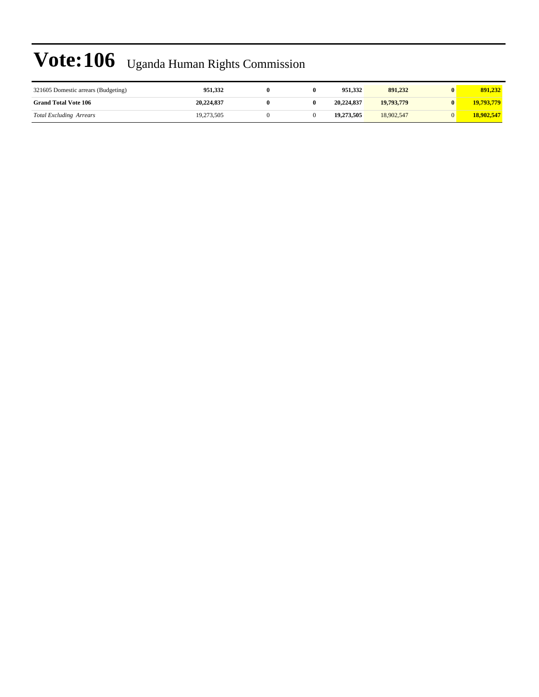| 321605 Domestic arrears (Budgeting) | 951.332    |  | 951.332    | 891.232    | 891.232    |
|-------------------------------------|------------|--|------------|------------|------------|
| <b>Grand Total Vote 106</b>         | 20,224,837 |  | 20,224,837 | 19,793,779 | 19,793,779 |
| <b>Total Excluding Arrears</b>      | 19,273,505 |  | 19,273,505 | 18,902,547 | 18,902,547 |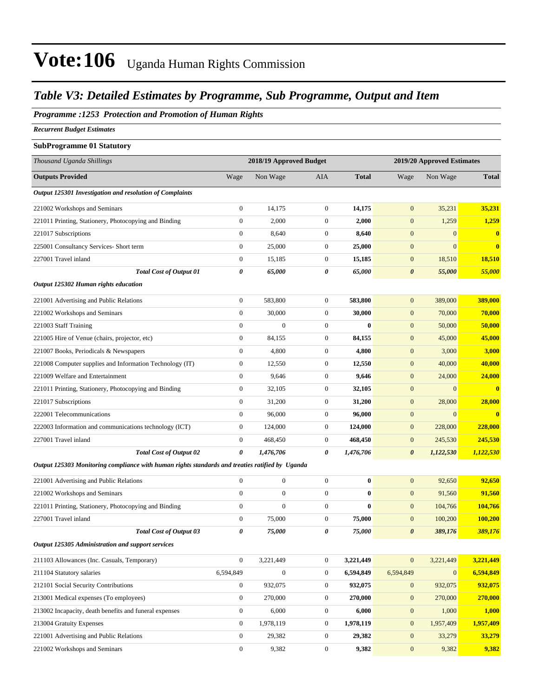#### *Table V3: Detailed Estimates by Programme, Sub Programme, Output and Item*

#### *Programme :1253 Protection and Promotion of Human Rights*

*Recurrent Budget Estimates*

#### **SubProgramme 01 Statutory**

| Thousand Uganda Shillings                                                                       |                       | 2018/19 Approved Budget |                  |              |                       | 2019/20 Approved Estimates |              |  |
|-------------------------------------------------------------------------------------------------|-----------------------|-------------------------|------------------|--------------|-----------------------|----------------------------|--------------|--|
| <b>Outputs Provided</b>                                                                         | Wage                  | Non Wage                | AIA              | <b>Total</b> | Wage                  | Non Wage                   | <b>Total</b> |  |
| Output 125301 Investigation and resolution of Complaints                                        |                       |                         |                  |              |                       |                            |              |  |
| 221002 Workshops and Seminars                                                                   | $\boldsymbol{0}$      | 14,175                  | $\boldsymbol{0}$ | 14,175       | $\mathbf{0}$          | 35,231                     | 35,231       |  |
| 221011 Printing, Stationery, Photocopying and Binding                                           | $\mathbf{0}$          | 2,000                   | $\boldsymbol{0}$ | 2,000        | $\mathbf{0}$          | 1,259                      | 1,259        |  |
| 221017 Subscriptions                                                                            | $\boldsymbol{0}$      | 8,640                   | $\boldsymbol{0}$ | 8,640        | $\mathbf{0}$          | $\overline{0}$             | $\bf{0}$     |  |
| 225001 Consultancy Services- Short term                                                         | $\boldsymbol{0}$      | 25,000                  | $\boldsymbol{0}$ | 25,000       | $\boldsymbol{0}$      | $\overline{0}$             | $\bf{0}$     |  |
| 227001 Travel inland                                                                            | $\mathbf{0}$          | 15,185                  | $\boldsymbol{0}$ | 15,185       | $\mathbf{0}$          | 18,510                     | 18,510       |  |
| <b>Total Cost of Output 01</b>                                                                  | 0                     | 65,000                  | 0                | 65,000       | $\boldsymbol{\theta}$ | 55,000                     | 55,000       |  |
| Output 125302 Human rights education                                                            |                       |                         |                  |              |                       |                            |              |  |
| 221001 Advertising and Public Relations                                                         | $\mathbf{0}$          | 583,800                 | $\boldsymbol{0}$ | 583,800      | $\mathbf{0}$          | 389,000                    | 389,000      |  |
| 221002 Workshops and Seminars                                                                   | $\boldsymbol{0}$      | 30,000                  | $\boldsymbol{0}$ | 30,000       | $\mathbf{0}$          | 70,000                     | 70,000       |  |
| 221003 Staff Training                                                                           | $\mathbf{0}$          | $\mathbf{0}$            | $\boldsymbol{0}$ | $\bf{0}$     | $\mathbf{0}$          | 50,000                     | 50,000       |  |
| 221005 Hire of Venue (chairs, projector, etc)                                                   | $\boldsymbol{0}$      | 84,155                  | $\boldsymbol{0}$ | 84,155       | $\mathbf{0}$          | 45,000                     | 45,000       |  |
| 221007 Books, Periodicals & Newspapers                                                          | $\boldsymbol{0}$      | 4,800                   | $\boldsymbol{0}$ | 4,800        | $\mathbf{0}$          | 3,000                      | 3,000        |  |
| 221008 Computer supplies and Information Technology (IT)                                        | $\mathbf{0}$          | 12,550                  | $\boldsymbol{0}$ | 12,550       | $\mathbf{0}$          | 40,000                     | 40,000       |  |
| 221009 Welfare and Entertainment                                                                | $\boldsymbol{0}$      | 9,646                   | $\boldsymbol{0}$ | 9,646        | $\mathbf{0}$          | 24,000                     | 24,000       |  |
| 221011 Printing, Stationery, Photocopying and Binding                                           | $\boldsymbol{0}$      | 32,105                  | $\boldsymbol{0}$ | 32,105       | $\mathbf{0}$          | $\overline{0}$             | $\bf{0}$     |  |
| 221017 Subscriptions                                                                            | $\mathbf{0}$          | 31,200                  | $\boldsymbol{0}$ | 31,200       | $\mathbf{0}$          | 28,000                     | 28,000       |  |
| 222001 Telecommunications                                                                       | $\boldsymbol{0}$      | 96,000                  | $\boldsymbol{0}$ | 96,000       | $\mathbf{0}$          | $\boldsymbol{0}$           | $\bf{0}$     |  |
| 222003 Information and communications technology (ICT)                                          | $\mathbf{0}$          | 124,000                 | $\boldsymbol{0}$ | 124,000      | $\mathbf{0}$          | 228,000                    | 228,000      |  |
| 227001 Travel inland                                                                            | $\boldsymbol{0}$      | 468,450                 | $\boldsymbol{0}$ | 468,450      | $\mathbf{0}$          | 245,530                    | 245,530      |  |
| Total Cost of Output 02                                                                         | $\boldsymbol{\theta}$ | 1,476,706               | 0                | 1,476,706    | $\boldsymbol{\theta}$ | 1,122,530                  | 1,122,530    |  |
| Output 125303 Monitoring compliance with human rights standards and treaties ratified by Uganda |                       |                         |                  |              |                       |                            |              |  |
| 221001 Advertising and Public Relations                                                         | $\boldsymbol{0}$      | $\boldsymbol{0}$        | $\boldsymbol{0}$ | $\bf{0}$     | $\mathbf{0}$          | 92,650                     | 92,650       |  |
| 221002 Workshops and Seminars                                                                   | $\boldsymbol{0}$      | $\mathbf{0}$            | $\boldsymbol{0}$ | $\bf{0}$     | $\mathbf{0}$          | 91,560                     | 91,560       |  |
| 221011 Printing, Stationery, Photocopying and Binding                                           | $\mathbf{0}$          | $\mathbf{0}$            | $\boldsymbol{0}$ | $\bf{0}$     | $\mathbf{0}$          | 104,766                    | 104,766      |  |
| 227001 Travel inland                                                                            | $\boldsymbol{0}$      | 75,000                  | $\boldsymbol{0}$ | 75,000       | $\mathbf{0}$          | 100,200                    | 100,200      |  |
| <b>Total Cost of Output 03</b>                                                                  | 0                     | 75,000                  | 0                | 75,000       | $\boldsymbol{\theta}$ | 389,176                    | 389,176      |  |
| Output 125305 Administration and support services                                               |                       |                         |                  |              |                       |                            |              |  |
| 211103 Allowances (Inc. Casuals, Temporary)                                                     | $\boldsymbol{0}$      | 3,221,449               | $\overline{0}$   | 3,221,449    | $\mathbf{0}$          | 3,221,449                  | 3,221,449    |  |
| 211104 Statutory salaries                                                                       | 6,594,849             | $\boldsymbol{0}$        | $\boldsymbol{0}$ | 6,594,849    | 6,594,849             | $\mathbf{0}$               | 6,594,849    |  |
| 212101 Social Security Contributions                                                            | $\mathbf{0}$          | 932,075                 | $\boldsymbol{0}$ | 932,075      | $\mathbf{0}$          | 932,075                    | 932,075      |  |
| 213001 Medical expenses (To employees)                                                          | $\mathbf{0}$          | 270,000                 | $\overline{0}$   | 270,000      | $\mathbf{0}$          | 270,000                    | 270,000      |  |
| 213002 Incapacity, death benefits and funeral expenses                                          | $\mathbf{0}$          | 6,000                   | $\boldsymbol{0}$ | 6,000        | $\boldsymbol{0}$      | 1,000                      | 1,000        |  |
| 213004 Gratuity Expenses                                                                        | $\mathbf{0}$          | 1,978,119               | $\boldsymbol{0}$ | 1,978,119    | $\mathbf{0}$          | 1,957,409                  | 1,957,409    |  |
| 221001 Advertising and Public Relations                                                         | $\boldsymbol{0}$      | 29,382                  | $\boldsymbol{0}$ | 29,382       | $\mathbf{0}$          | 33,279                     | 33,279       |  |
| 221002 Workshops and Seminars                                                                   | $\boldsymbol{0}$      | 9,382                   | $\boldsymbol{0}$ | 9,382        | $\mathbf{0}$          | 9,382                      | 9,382        |  |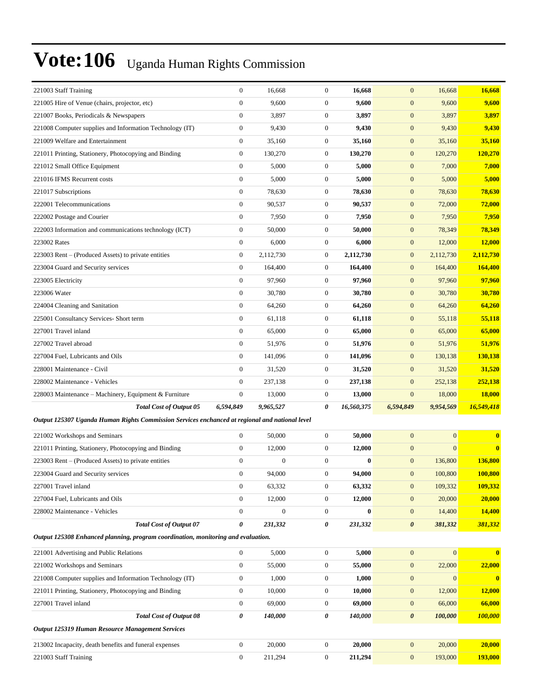|                                                                                                | $\boldsymbol{0}$ | 16,668           | $\mathbf{0}$     | 16,668     | $\mathbf{0}$          | 16,668           | 16,668             |
|------------------------------------------------------------------------------------------------|------------------|------------------|------------------|------------|-----------------------|------------------|--------------------|
| 221005 Hire of Venue (chairs, projector, etc)                                                  | $\boldsymbol{0}$ | 9,600            | $\boldsymbol{0}$ | 9,600      | $\mathbf{0}$          | 9,600            | 9,600              |
| 221007 Books, Periodicals & Newspapers                                                         | $\boldsymbol{0}$ | 3,897            | $\mathbf{0}$     | 3,897      | $\boldsymbol{0}$      | 3,897            | 3,897              |
| 221008 Computer supplies and Information Technology (IT)                                       | $\boldsymbol{0}$ | 9,430            | $\mathbf{0}$     | 9,430      | $\boldsymbol{0}$      | 9,430            | 9,430              |
| 221009 Welfare and Entertainment                                                               | $\boldsymbol{0}$ | 35,160           | $\boldsymbol{0}$ | 35,160     | $\boldsymbol{0}$      | 35,160           | 35,160             |
| 221011 Printing, Stationery, Photocopying and Binding                                          | $\boldsymbol{0}$ | 130,270          | $\mathbf{0}$     | 130,270    | $\mathbf{0}$          | 120,270          | 120,270            |
| 221012 Small Office Equipment                                                                  | $\boldsymbol{0}$ | 5,000            | $\boldsymbol{0}$ | 5,000      | $\mathbf{0}$          | 7,000            | 7,000              |
| 221016 IFMS Recurrent costs                                                                    | $\boldsymbol{0}$ | 5,000            | $\mathbf{0}$     | 5,000      | $\boldsymbol{0}$      | 5,000            | 5,000              |
| 221017 Subscriptions                                                                           | $\boldsymbol{0}$ | 78,630           | $\mathbf{0}$     | 78,630     | $\boldsymbol{0}$      | 78,630           | 78,630             |
| 222001 Telecommunications                                                                      | $\boldsymbol{0}$ | 90,537           | $\boldsymbol{0}$ | 90,537     | $\boldsymbol{0}$      | 72,000           | <b>72,000</b>      |
| 222002 Postage and Courier                                                                     | $\boldsymbol{0}$ | 7,950            | $\mathbf{0}$     | 7,950      | $\mathbf{0}$          | 7,950            | 7,950              |
| 222003 Information and communications technology (ICT)                                         | $\boldsymbol{0}$ | 50,000           | $\boldsymbol{0}$ | 50,000     | $\mathbf{0}$          | 78,349           | 78,349             |
| 223002 Rates                                                                                   | $\boldsymbol{0}$ | 6,000            | $\mathbf{0}$     | 6,000      | $\boldsymbol{0}$      | 12,000           | 12,000             |
| 223003 Rent – (Produced Assets) to private entities                                            | $\boldsymbol{0}$ | 2,112,730        | $\mathbf{0}$     | 2,112,730  | $\boldsymbol{0}$      | 2,112,730        | 2,112,730          |
| 223004 Guard and Security services                                                             | $\boldsymbol{0}$ | 164,400          | $\mathbf{0}$     | 164,400    | $\mathbf{0}$          | 164,400          | 164,400            |
| 223005 Electricity                                                                             | $\boldsymbol{0}$ | 97,960           | $\mathbf{0}$     | 97,960     | $\mathbf{0}$          | 97,960           | 97,960             |
| 223006 Water                                                                                   | $\boldsymbol{0}$ | 30,780           | $\mathbf{0}$     | 30,780     | $\mathbf{0}$          | 30,780           | 30,780             |
| 224004 Cleaning and Sanitation                                                                 | $\boldsymbol{0}$ | 64,260           | $\mathbf{0}$     | 64,260     | $\boldsymbol{0}$      | 64,260           | 64,260             |
| 225001 Consultancy Services- Short term                                                        | $\boldsymbol{0}$ | 61,118           | $\mathbf{0}$     | 61,118     | $\boldsymbol{0}$      | 55,118           | 55,118             |
| 227001 Travel inland                                                                           | $\boldsymbol{0}$ | 65,000           | $\mathbf{0}$     | 65,000     | $\boldsymbol{0}$      | 65,000           | 65,000             |
| 227002 Travel abroad                                                                           | $\boldsymbol{0}$ | 51,976           | $\mathbf{0}$     | 51,976     | $\mathbf{0}$          | 51,976           | 51,976             |
| 227004 Fuel, Lubricants and Oils                                                               | $\boldsymbol{0}$ | 141,096          | $\mathbf{0}$     | 141,096    | $\mathbf{0}$          | 130,138          | 130,138            |
| 228001 Maintenance - Civil                                                                     | $\boldsymbol{0}$ | 31,520           | $\mathbf{0}$     | 31,520     | $\mathbf{0}$          | 31,520           | 31,520             |
| 228002 Maintenance - Vehicles                                                                  | $\boldsymbol{0}$ | 237,138          | $\mathbf{0}$     | 237,138    | $\boldsymbol{0}$      | 252,138          | 252,138            |
| 228003 Maintenance – Machinery, Equipment & Furniture                                          | $\boldsymbol{0}$ | 13,000           | $\mathbf{0}$     | 13,000     | $\mathbf{0}$          | 18,000           | <b>18,000</b>      |
| <b>Total Cost of Output 05</b>                                                                 |                  |                  |                  |            |                       |                  |                    |
|                                                                                                | 6,594,849        | 9,965,527        | 0                | 16,560,375 | 6,594,849             | 9,954,569        | 16,549,418         |
| Output 125307 Uganda Human Rights Commission Services enchanced at regional and national level |                  |                  |                  |            |                       |                  |                    |
| 221002 Workshops and Seminars                                                                  | $\boldsymbol{0}$ | 50,000           | $\mathbf{0}$     | 50,000     | $\mathbf{0}$          | $\mathbf{0}$     | $\bf{0}$           |
| 221011 Printing, Stationery, Photocopying and Binding                                          | $\boldsymbol{0}$ | 12,000           | $\mathbf{0}$     | 12,000     | $\mathbf{0}$          | $\mathbf{0}$     | $\bf{0}$           |
| 223003 Rent – (Produced Assets) to private entities                                            | $\boldsymbol{0}$ | $\boldsymbol{0}$ | $\mathbf{0}$     | $\bf{0}$   | $\mathbf{0}$          | 136,800          | 136,800            |
| 223004 Guard and Security services                                                             | $\boldsymbol{0}$ | 94,000           | $\boldsymbol{0}$ | 94,000     | $\mathbf{0}$          | 100,800          |                    |
| 227001 Travel inland                                                                           | $\boldsymbol{0}$ | 63,332           | $\boldsymbol{0}$ | 63,332     | $\boldsymbol{0}$      | 109,332          | 100,800<br>109,332 |
| 227004 Fuel, Lubricants and Oils                                                               | $\boldsymbol{0}$ | 12,000           | $\boldsymbol{0}$ | 12,000     | $\boldsymbol{0}$      | 20,000           | 20,000             |
| 228002 Maintenance - Vehicles                                                                  | $\boldsymbol{0}$ | $\boldsymbol{0}$ | $\boldsymbol{0}$ | $\bf{0}$   | $\boldsymbol{0}$      | 14,400           | 14,400             |
| <b>Total Cost of Output 07</b>                                                                 | 0                | 231,332          | 0                | 231,332    | $\boldsymbol{\theta}$ | 381,332          | 381,332            |
| Output 125308 Enhanced planning, program coordination, monitoring and evaluation.              |                  |                  |                  |            |                       |                  |                    |
| 221001 Advertising and Public Relations                                                        | $\boldsymbol{0}$ | 5,000            | $\boldsymbol{0}$ | 5,000      | $\boldsymbol{0}$      | $\boldsymbol{0}$ | $\bf{0}$           |
| 221002 Workshops and Seminars                                                                  | $\boldsymbol{0}$ | 55,000           | $\boldsymbol{0}$ | 55,000     | $\boldsymbol{0}$      | 22,000           | 22,000             |
| 221008 Computer supplies and Information Technology (IT)                                       | $\boldsymbol{0}$ | 1,000            | $\boldsymbol{0}$ | 1,000      | $\boldsymbol{0}$      | $\mathbf{0}$     | $\bf{0}$           |
| 221011 Printing, Stationery, Photocopying and Binding                                          | $\boldsymbol{0}$ | 10,000           | $\boldsymbol{0}$ | 10,000     | $\boldsymbol{0}$      | 12,000           | 12,000             |
| 227001 Travel inland                                                                           | $\boldsymbol{0}$ | 69,000           | $\boldsymbol{0}$ | 69,000     | $\boldsymbol{0}$      | 66,000           | 66,000             |
| <b>Total Cost of Output 08</b>                                                                 | 0                | 140,000          | 0                | 140,000    | $\boldsymbol{\theta}$ | 100,000          | 100,000            |
| Output 125319 Human Resource Management Services                                               |                  |                  |                  |            |                       |                  |                    |
| 213002 Incapacity, death benefits and funeral expenses                                         | $\boldsymbol{0}$ | 20,000           | $\boldsymbol{0}$ | 20,000     | $\boldsymbol{0}$      | 20,000           | 20,000             |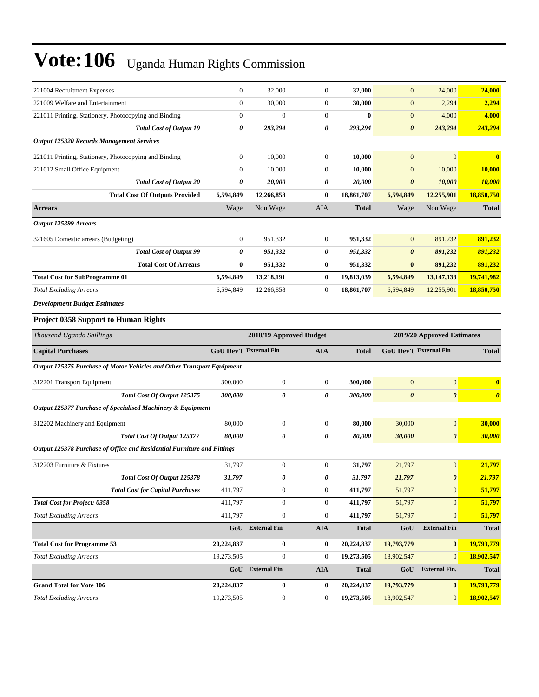| 221004 Recruitment Expenses                                             | $\boldsymbol{0}$              | 32,000                  | $\boldsymbol{0}$      | 32,000       | $\boldsymbol{0}$           | 24,000                | 24,000                |
|-------------------------------------------------------------------------|-------------------------------|-------------------------|-----------------------|--------------|----------------------------|-----------------------|-----------------------|
| 221009 Welfare and Entertainment                                        | $\boldsymbol{0}$              | 30,000                  | $\boldsymbol{0}$      | 30,000       | $\mathbf{0}$               | 2,294                 | 2,294                 |
| 221011 Printing, Stationery, Photocopying and Binding                   | $\boldsymbol{0}$              | $\boldsymbol{0}$        | $\mathbf{0}$          | $\bf{0}$     | $\boldsymbol{0}$           | 4,000                 | 4,000                 |
| <b>Total Cost of Output 19</b>                                          | 0                             | 293,294                 | $\boldsymbol{\theta}$ | 293,294      | $\boldsymbol{\theta}$      | 243,294               | 243,294               |
| <b>Output 125320 Records Management Services</b>                        |                               |                         |                       |              |                            |                       |                       |
| 221011 Printing, Stationery, Photocopying and Binding                   | $\boldsymbol{0}$              | 10,000                  | $\boldsymbol{0}$      | 10,000       | $\mathbf{0}$               | $\mathbf{0}$          | $\bf{0}$              |
| 221012 Small Office Equipment                                           | $\boldsymbol{0}$              | 10,000                  | $\mathbf{0}$          | 10,000       | $\boldsymbol{0}$           | 10,000                | 10,000                |
| <b>Total Cost of Output 20</b>                                          | 0                             | 20,000                  | 0                     | 20,000       | $\boldsymbol{\theta}$      | 10,000                | <b>10,000</b>         |
| <b>Total Cost Of Outputs Provided</b>                                   | 6,594,849                     | 12,266,858              | $\bf{0}$              | 18,861,707   | 6,594,849                  | 12,255,901            | 18,850,750            |
| <b>Arrears</b>                                                          | Wage                          | Non Wage                | AIA                   | <b>Total</b> | Wage                       | Non Wage              | <b>Total</b>          |
| Output 125399 Arrears                                                   |                               |                         |                       |              |                            |                       |                       |
| 321605 Domestic arrears (Budgeting)                                     | $\boldsymbol{0}$              | 951,332                 | $\boldsymbol{0}$      | 951,332      | $\mathbf{0}$               | 891,232               | 891,232               |
| <b>Total Cost of Output 99</b>                                          | 0                             | 951,332                 | 0                     | 951,332      | $\boldsymbol{\theta}$      | 891,232               | 891,232               |
| <b>Total Cost Of Arrears</b>                                            | $\bf{0}$                      | 951,332                 | $\bf{0}$              | 951,332      | $\bf{0}$                   | 891,232               | 891,232               |
| <b>Total Cost for SubProgramme 01</b>                                   | 6,594,849                     | 13,218,191              | $\bf{0}$              | 19,813,039   | 6,594,849                  | 13,147,133            | 19,741,982            |
| <b>Total Excluding Arrears</b>                                          | 6,594,849                     | 12,266,858              | $\mathbf{0}$          | 18,861,707   | 6,594,849                  | 12,255,901            | 18,850,750            |
| <b>Development Budget Estimates</b>                                     |                               |                         |                       |              |                            |                       |                       |
| <b>Project 0358 Support to Human Rights</b>                             |                               |                         |                       |              |                            |                       |                       |
| Thousand Uganda Shillings                                               |                               | 2018/19 Approved Budget |                       |              | 2019/20 Approved Estimates |                       |                       |
| <b>Capital Purchases</b>                                                | <b>GoU Dev't External Fin</b> |                         | <b>AIA</b>            | <b>Total</b> | GoU Dev't External Fin     |                       | <b>Total</b>          |
|                                                                         |                               |                         |                       |              |                            |                       |                       |
| Output 125375 Purchase of Motor Vehicles and Other Transport Equipment  |                               |                         |                       |              |                            |                       |                       |
| 312201 Transport Equipment                                              | 300,000                       | $\boldsymbol{0}$        | $\mathbf{0}$          | 300,000      | $\mathbf{0}$               | $\boldsymbol{0}$      | $\bf{0}$              |
| Total Cost Of Output 125375                                             | 300,000                       | 0                       | 0                     | 300,000      | $\boldsymbol{\theta}$      | $\boldsymbol{\theta}$ | $\boldsymbol{\theta}$ |
| Output 125377 Purchase of Specialised Machinery & Equipment             |                               |                         |                       |              |                            |                       |                       |
| 312202 Machinery and Equipment                                          | 80,000                        | $\boldsymbol{0}$        | $\mathbf{0}$          | 80,000       | 30,000                     | $\mathbf{0}$          | 30,000                |
| Total Cost Of Output 125377                                             | 80,000                        | 0                       | 0                     | 80,000       | 30,000                     | $\boldsymbol{\theta}$ | 30,000                |
| Output 125378 Purchase of Office and Residential Furniture and Fittings |                               |                         |                       |              |                            |                       |                       |
| 312203 Furniture & Fixtures                                             | 31,797                        | $\boldsymbol{0}$        | $\boldsymbol{0}$      | 31,797       | 21,797                     | $\boldsymbol{0}$      | 21,797                |
| Total Cost Of Output 125378                                             | 31,797                        | 0                       | 0                     | 31,797       | 21,797                     | $\pmb{\theta}$        | 21,797                |
| <b>Total Cost for Capital Purchases</b>                                 | 411,797                       | $\boldsymbol{0}$        | $\mathbf{0}$          | 411,797      | 51,797                     | $\mathbf{0}$          | 51,797                |
| <b>Total Cost for Project: 0358</b>                                     | 411,797                       | $\boldsymbol{0}$        | $\mathbf{0}$          | 411,797      | 51,797                     | $\mathbf{0}$          | 51,797                |
| <b>Total Excluding Arrears</b>                                          | 411,797                       | $\boldsymbol{0}$        | $\boldsymbol{0}$      | 411,797      | 51,797                     | $\mathbf{0}$          | 51,797                |
|                                                                         |                               | GoU External Fin        | <b>AIA</b>            | <b>Total</b> | GoU                        | <b>External Fin</b>   | <b>Total</b>          |
| <b>Total Cost for Programme 53</b>                                      | 20,224,837                    | $\bf{0}$                | $\bf{0}$              | 20,224,837   | 19,793,779                 | $\bf{0}$              | 19,793,779            |
| <b>Total Excluding Arrears</b>                                          | 19,273,505                    | $\boldsymbol{0}$        | $\boldsymbol{0}$      | 19,273,505   | 18,902,547                 | $\mathbf{0}$          | 18,902,547            |
|                                                                         |                               | GoU External Fin        | <b>AIA</b>            | <b>Total</b> | GoU                        | <b>External Fin.</b>  | <b>Total</b>          |
| <b>Grand Total for Vote 106</b>                                         | 20,224,837                    | $\bf{0}$                | $\bf{0}$              | 20,224,837   | 19,793,779                 | $\bf{0}$              | 19,793,779            |